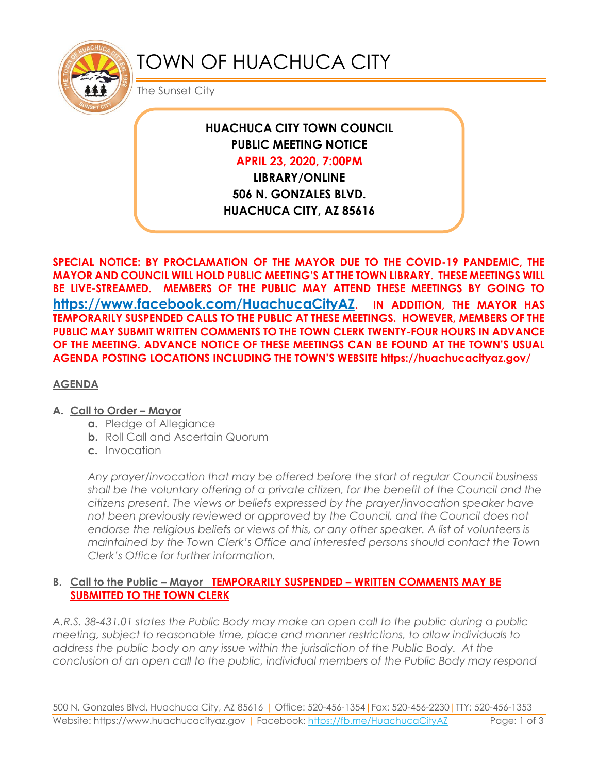

# TOWN OF HUACHUCA CITY

The Sunset City

## **HUACHUCA CITY TOWN COUNCIL PUBLIC MEETING NOTICE APRIL 23, 2020, 7:00PM**

**LIBRARY/ONLINE 506 N. GONZALES BLVD. HUACHUCA CITY, AZ 85616**

**SPECIAL NOTICE: BY PROCLAMATION OF THE MAYOR DUE TO THE COVID-19 PANDEMIC, THE MAYOR AND COUNCIL WILL HOLD PUBLIC MEETING'S AT THE TOWN LIBRARY. THESE MEETINGS WILL BE LIVE-STREAMED. MEMBERS OF THE PUBLIC MAY ATTEND THESE MEETINGS BY GOING TO <https://www.facebook.com/HuachucaCityAZ>. IN ADDITION, THE MAYOR HAS TEMPORARILY SUSPENDED CALLS TO THE PUBLIC AT THESE MEETINGS. HOWEVER, MEMBERS OF THE PUBLIC MAY SUBMIT WRITTEN COMMENTS TO THE TOWN CLERK TWENTY-FOUR HOURS IN ADVANCE OF THE MEETING. ADVANCE NOTICE OF THESE MEETINGS CAN BE FOUND AT THE TOWN'S USUAL AGENDA POSTING LOCATIONS INCLUDING THE TOWN'S WEBSITE https://huachucacityaz.gov/**

#### **AGENDA**

#### **A. Call to Order – Mayor**

- **a.** Pledge of Allegiance
- **b.** Roll Call and Ascertain Quorum
- **c.** Invocation

*Any prayer/invocation that may be offered before the start of regular Council business shall be the voluntary offering of a private citizen, for the benefit of the Council and the citizens present. The views or beliefs expressed by the prayer/invocation speaker have not been previously reviewed or approved by the Council, and the Council does not endorse the religious beliefs or views of this, or any other speaker. A list of volunteers is maintained by the Town Clerk's Office and interested persons should contact the Town Clerk's Office for further information.*

#### **B. Call to the Public – Mayor TEMPORARILY SUSPENDED – WRITTEN COMMENTS MAY BE SUBMITTED TO THE TOWN CLERK**

*A.R.S. 38-431.01 states the Public Body may make an open call to the public during a public meeting, subject to reasonable time, place and manner restrictions, to allow individuals to address the public body on any issue within the jurisdiction of the Public Body. At the conclusion of an open call to the public, individual members of the Public Body may respond*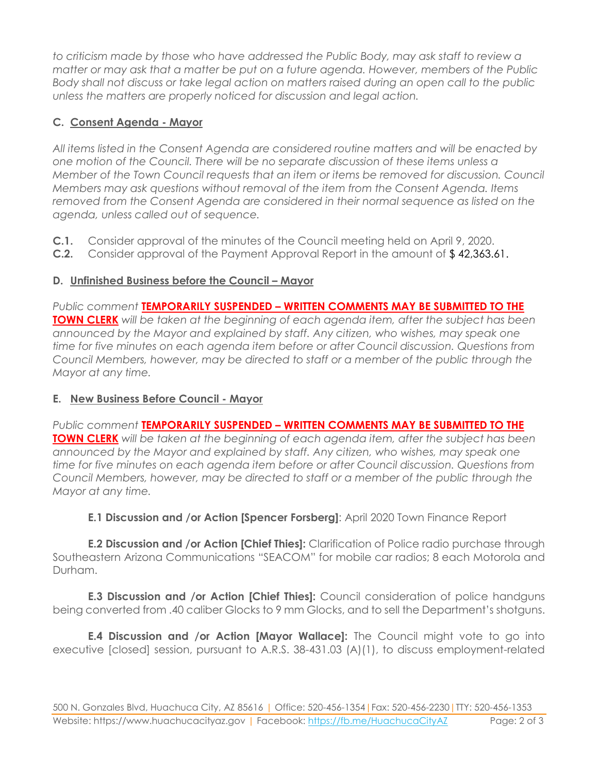*to criticism made by those who have addressed the Public Body, may ask staff to review a matter or may ask that a matter be put on a future agenda. However, members of the Public Body shall not discuss or take legal action on matters raised during an open call to the public unless the matters are properly noticed for discussion and legal action.*

### **C. Consent Agenda - Mayor**

*All items listed in the Consent Agenda are considered routine matters and will be enacted by one motion of the Council. There will be no separate discussion of these items unless a Member of the Town Council requests that an item or items be removed for discussion. Council Members may ask questions without removal of the item from the Consent Agenda. Items removed from the Consent Agenda are considered in their normal sequence as listed on the agenda, unless called out of sequence.*

- **C.1.** Consider approval of the minutes of the Council meeting held on April 9, 2020.
- **C.2.** Consider approval of the Payment Approval Report in the amount of \$ 42,363.61.

#### **D.** Unfinished Business before the Council – Mayor

*Public comment* **TEMPORARILY SUSPENDED – WRITTEN COMMENTS MAY BE SUBMITTED TO THE TOWN CLERK** *will be taken at the beginning of each agenda item, after the subject has been announced by the Mayor and explained by staff. Any citizen, who wishes, may speak one time for five minutes on each agenda item before or after Council discussion. Questions from Council Members, however, may be directed to staff or a member of the public through the Mayor at any time.*

#### **E. New Business Before Council - Mayor**

*Public comment* **TEMPORARILY SUSPENDED – WRITTEN COMMENTS MAY BE SUBMITTED TO THE TOWN CLERK** *will be taken at the beginning of each agenda item, after the subject has been announced by the Mayor and explained by staff. Any citizen, who wishes, may speak one time for five minutes on each agenda item before or after Council discussion. Questions from Council Members, however, may be directed to staff or a member of the public through the Mayor at any time.*

**E.1 Discussion and /or Action [Spencer Forsberg]**: April 2020 Town Finance Report

**E.2 Discussion and /or Action [Chief Thies]:** Clarification of Police radio purchase through Southeastern Arizona Communications "SEACOM" for mobile car radios; 8 each Motorola and Durham.

**E.3 Discussion and /or Action [Chief Thies]:** Council consideration of police handguns being converted from .40 caliber Glocks to 9 mm Glocks, and to sell the Department's shotguns.

**E.4 Discussion and /or Action [Mayor Wallace]:** The Council might vote to go into executive [closed] session, pursuant to A.R.S. 38-431.03 (A)(1), to discuss employment-related